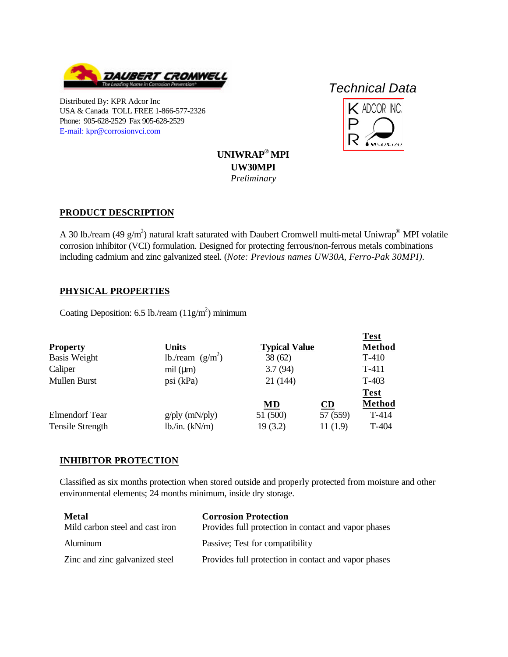

Distributed By: KPR Adcor Inc USA & Canada TOLL FREE 1-866-577-2326 Phone: 905-628-2529 Fax 905-628-2529 [E-mail: kpr@corrosionvci.com](mailto:kpr@corrosionvci.com)

# *Technical Data*



**UNIWRAP® MPI UW30MPI** *Preliminary*

### **PRODUCT DESCRIPTION**

A 30 lb./ream (49  $\rm g/m^2$ ) natural kraft saturated with Daubert Cromwell multi-metal Uniwrap<sup>®</sup> MPI volatile corrosion inhibitor (VCI) formulation. Designed for protecting ferrous/non-ferrous metals combinations including cadmium and zinc galvanized steel. (*Note: Previous names UW30A, Ferro-Pak 30MPI).*

### **PHYSICAL PROPERTIES**

Coating Deposition: 6.5 lb./ream  $(11g/m^2)$  minimum

|                         |                     |                      |          | <b>Test</b>   |
|-------------------------|---------------------|----------------------|----------|---------------|
| <b>Property</b>         | <b>Units</b>        | <b>Typical Value</b> |          | <b>Method</b> |
| <b>Basis Weight</b>     | lb./ream $(g/m^2)$  | 38(62)               |          | $T-410$       |
| Caliper                 | mil (µm)            | 3.7(94)              |          | $T-411$       |
| Mullen Burst            | psi (kPa)           | 21 (144)             |          | $T-403$       |
|                         |                     |                      |          | <b>Test</b>   |
|                         |                     | <b>MD</b>            | CD       | <b>Method</b> |
| <b>Elmendorf Tear</b>   | $g$ /ply (mN/ply)   | 51 (500)             | 57 (559) | $T-414$       |
| <b>Tensile Strength</b> | $lb$ ./in. $(kN/m)$ | 19(3.2)              | 11(1.9)  | T-404         |

## **INHIBITOR PROTECTION**

Classified as six months protection when stored outside and properly protected from moisture and other environmental elements; 24 months minimum, inside dry storage.

| <b>Metal</b>                    | <b>Corrosion Protection</b>                          |
|---------------------------------|------------------------------------------------------|
| Mild carbon steel and cast iron | Provides full protection in contact and vapor phases |
| Aluminum                        | Passive; Test for compatibility                      |
| Zinc and zinc galvanized steel  | Provides full protection in contact and vapor phases |